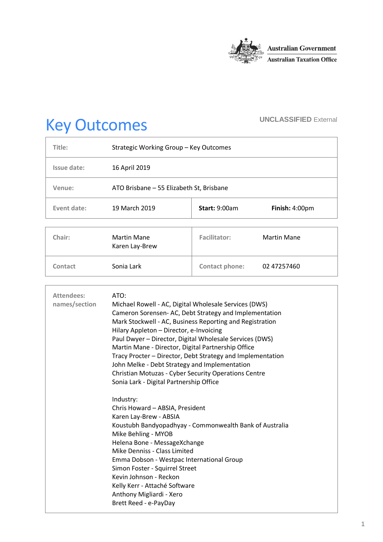

# Key Outcomes **UNCLASSIFIED External**

| Title:      | Strategic Working Group - Key Outcomes   |                      |                    |
|-------------|------------------------------------------|----------------------|--------------------|
| Issue date: | 16 April 2019                            |                      |                    |
| Venue:      | ATO Brisbane - 55 Elizabeth St, Brisbane |                      |                    |
| Event date: | 19 March 2019                            | <b>Start: 9:00am</b> | Finish: $4:00pm$   |
|             |                                          |                      |                    |
| Chair:      | Martin Mane<br>Karen Lay-Brew            | <b>Facilitator:</b>  | <b>Martin Mane</b> |
| Contact     | Sonia Lark                               | Contact phone:       | 02 47257460        |

| Attendees:<br>names/section | ATO:<br>Michael Rowell - AC, Digital Wholesale Services (DWS)<br>Cameron Sorensen-AC, Debt Strategy and Implementation<br>Mark Stockwell - AC, Business Reporting and Registration<br>Hilary Appleton - Director, e-Invoicing<br>Paul Dwyer - Director, Digital Wholesale Services (DWS)<br>Martin Mane - Director, Digital Partnership Office<br>Tracy Procter - Director, Debt Strategy and Implementation<br>John Melke - Debt Strategy and Implementation<br><b>Christian Motuzas - Cyber Security Operations Centre</b><br>Sonia Lark - Digital Partnership Office |
|-----------------------------|-------------------------------------------------------------------------------------------------------------------------------------------------------------------------------------------------------------------------------------------------------------------------------------------------------------------------------------------------------------------------------------------------------------------------------------------------------------------------------------------------------------------------------------------------------------------------|
|                             | Industry:<br>Chris Howard - ABSIA, President<br>Karen Lay-Brew - ABSIA<br>Koustubh Bandyopadhyay - Commonwealth Bank of Australia<br>Mike Behling - MYOB<br>Helena Bone - MessageXchange<br>Mike Denniss - Class Limited<br>Emma Dobson - Westpac International Group<br>Simon Foster - Squirrel Street<br>Kevin Johnson - Reckon<br>Kelly Kerr - Attaché Software<br>Anthony Migliardi - Xero<br>Brett Reed - e-PayDay                                                                                                                                                 |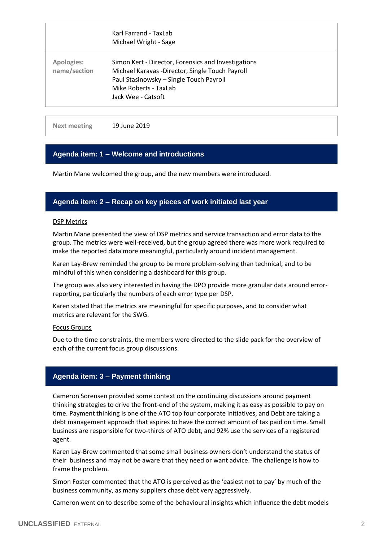|                                   | Karl Farrand - TaxLab<br>Michael Wright - Sage                                                                                                                                                   |
|-----------------------------------|--------------------------------------------------------------------------------------------------------------------------------------------------------------------------------------------------|
| <b>Apologies:</b><br>name/section | Simon Kert - Director, Forensics and Investigations<br>Michael Karavas -Director, Single Touch Payroll<br>Paul Stasinowsky - Single Touch Payroll<br>Mike Roberts - TaxLab<br>Jack Wee - Catsoft |

**Next meeting** 19 June 2019

# **Agenda item: 1 – Welcome and introductions**

Martin Mane welcomed the group, and the new members were introduced.

# **Agenda item: 2 – Recap on key pieces of work initiated last year**

#### DSP Metrics

Martin Mane presented the view of DSP metrics and service transaction and error data to the group. The metrics were well-received, but the group agreed there was more work required to make the reported data more meaningful, particularly around incident management.

Karen Lay-Brew reminded the group to be more problem-solving than technical, and to be mindful of this when considering a dashboard for this group.

The group was also very interested in having the DPO provide more granular data around errorreporting, particularly the numbers of each error type per DSP.

Karen stated that the metrics are meaningful for specific purposes, and to consider what metrics are relevant for the SWG.

#### Focus Groups

Due to the time constraints, the members were directed to the slide pack for the overview of each of the current focus group discussions.

# **Agenda item: 3 – Payment thinking**

Cameron Sorensen provided some context on the continuing discussions around payment thinking strategies to drive the front-end of the system, making it as easy as possible to pay on time. Payment thinking is one of the ATO top four corporate initiatives, and Debt are taking a debt management approach that aspires to have the correct amount of tax paid on time. Small business are responsible for two-thirds of ATO debt, and 92% use the services of a registered agent.

Karen Lay-Brew commented that some small business owners don't understand the status of their business and may not be aware that they need or want advice. The challenge is how to frame the problem.

Simon Foster commented that the ATO is perceived as the 'easiest not to pay' by much of the business community, as many suppliers chase debt very aggressively.

Cameron went on to describe some of the behavioural insights which influence the debt models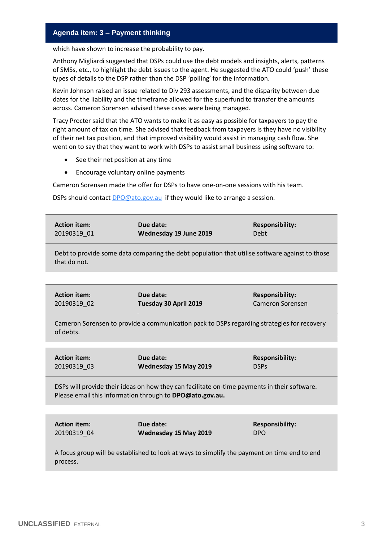# **Agenda item: 3 – Payment thinking**

which have shown to increase the probability to pay.

Anthony Migliardi suggested that DSPs could use the debt models and insights, alerts, patterns of SMSs, etc., to highlight the debt issues to the agent. He suggested the ATO could 'push' these types of details to the DSP rather than the DSP 'polling' for the information.

Kevin Johnson raised an issue related to Div 293 assessments, and the disparity between due dates for the liability and the timeframe allowed for the superfund to transfer the amounts across. Cameron Sorensen advised these cases were being managed.

Tracy Procter said that the ATO wants to make it as easy as possible for taxpayers to pay the right amount of tax on time. She advised that feedback from taxpayers is they have no visibility of their net tax position, and that improved visibility would assist in managing cash flow. She went on to say that they want to work with DSPs to assist small business using software to:

- See their net position at any time
- Encourage voluntary online payments

Cameron Sorensen made the offer for DSPs to have one-on-one sessions with his team.

DSPs should contact [DPO@ato.gov.au](mailto:DPO@ato.gov.au) if they would like to arrange a session.

| <b>Action item:</b><br>20190319 01 | Due date:<br>Wednesday 19 June 2019                                                                                                                      | <b>Responsibility:</b><br>Debt                    |
|------------------------------------|----------------------------------------------------------------------------------------------------------------------------------------------------------|---------------------------------------------------|
| that do not.                       | Debt to provide some data comparing the debt population that utilise software against to those                                                           |                                                   |
|                                    |                                                                                                                                                          |                                                   |
| <b>Action item:</b><br>20190319 02 | Due date:<br>Tuesday 30 April 2019                                                                                                                       | <b>Responsibility:</b><br><b>Cameron Sorensen</b> |
| of debts.                          | Cameron Sorensen to provide a communication pack to DSPs regarding strategies for recovery                                                               |                                                   |
|                                    |                                                                                                                                                          |                                                   |
| <b>Action item:</b><br>20190319 03 | Due date:<br>Wednesday 15 May 2019                                                                                                                       | <b>Responsibility:</b><br><b>DSPs</b>             |
|                                    | DSPs will provide their ideas on how they can facilitate on-time payments in their software.<br>Please email this information through to DPO@ato.gov.au. |                                                   |
|                                    |                                                                                                                                                          |                                                   |
| <b>Action item:</b><br>20190319_04 | Due date:<br>Wednesday 15 May 2019                                                                                                                       | <b>Responsibility:</b><br><b>DPO</b>              |
| process.                           | A focus group will be established to look at ways to simplify the payment on time end to end                                                             |                                                   |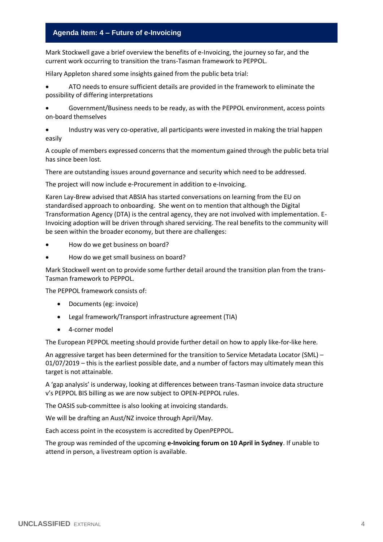# **Agenda item: 4 – Future of e-Invoicing**

Mark Stockwell gave a brief overview the benefits of e-Invoicing, the journey so far, and the current work occurring to transition the trans-Tasman framework to PEPPOL.

Hilary Appleton shared some insights gained from the public beta trial:

- ATO needs to ensure sufficient details are provided in the framework to eliminate the possibility of differing interpretations
- Government/Business needs to be ready, as with the PEPPOL environment, access points on-board themselves

 Industry was very co-operative, all participants were invested in making the trial happen easily

A couple of members expressed concerns that the momentum gained through the public beta trial has since been lost.

There are outstanding issues around governance and security which need to be addressed.

The project will now include e-Procurement in addition to e-Invoicing.

Karen Lay-Brew advised that ABSIA has started conversations on learning from the EU on standardised approach to onboarding. She went on to mention that although the Digital Transformation Agency (DTA) is the central agency, they are not involved with implementation. E-Invoicing adoption will be driven through shared servicing. The real benefits to the community will be seen within the broader economy, but there are challenges:

- How do we get business on board?
- How do we get small business on board?

Mark Stockwell went on to provide some further detail around the transition plan from the trans-Tasman framework to PEPPOL.

The PEPPOL framework consists of:

- Documents (eg: invoice)
- Legal framework/Transport infrastructure agreement (TIA)
- 4-corner model

The European PEPPOL meeting should provide further detail on how to apply like-for-like here.

An aggressive target has been determined for the transition to Service Metadata Locator (SML) – 01/07/2019 – this is the earliest possible date, and a number of factors may ultimately mean this target is not attainable.

A 'gap analysis' is underway, looking at differences between trans-Tasman invoice data structure v's PEPPOL BIS billing as we are now subject to OPEN-PEPPOL rules.

The OASIS sub-committee is also looking at invoicing standards.

We will be drafting an Aust/NZ invoice through April/May.

Each access point in the ecosystem is accredited by OpenPEPPOL.

The group was reminded of the upcoming **e-Invoicing forum on 10 April in Sydney**. If unable to attend in person, a livestream option is available.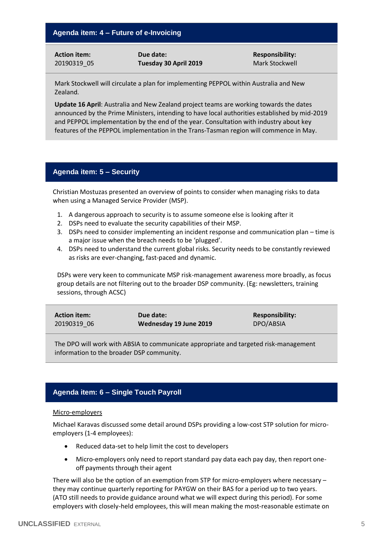**Action item:** 20190319\_05 **Due date: Tuesday 30 April 2019** **Responsibility:** Mark Stockwell

Mark Stockwell will circulate a plan for implementing PEPPOL within Australia and New Zealand.

**Update 16 April**: Australia and New Zealand project teams are working towards the dates announced by the Prime Ministers, intending to have local authorities established by mid-2019 and PEPPOL implementation by the end of the year. Consultation with industry about key features of the PEPPOL implementation in the Trans-Tasman region will commence in May.

# **Agenda item: 5 – Security**

Christian Mostuzas presented an overview of points to consider when managing risks to data when using a Managed Service Provider (MSP).

- 1. A dangerous approach to security is to assume someone else is looking after it
- 2. DSPs need to evaluate the security capabilities of their MSP.
- 3. DSPs need to consider implementing an incident response and communication plan time is a major issue when the breach needs to be 'plugged'.
- 4. DSPs need to understand the current global risks. Security needs to be constantly reviewed as risks are ever-changing, fast-paced and dynamic.

DSPs were very keen to communicate MSP risk-management awareness more broadly, as focus group details are not filtering out to the broader DSP community. (Eg: newsletters, training sessions, through ACSC)

| <b>Action item:</b> | Due date:              | <b>Responsibility:</b> |
|---------------------|------------------------|------------------------|
| 20190319 06         | Wednesday 19 June 2019 | DPO/ABSIA              |

The DPO will work with ABSIA to communicate appropriate and targeted risk-management information to the broader DSP community.

# **Agenda item: 6 – Single Touch Payroll**

### Micro-employers

Michael Karavas discussed some detail around DSPs providing a low-cost STP solution for microemployers (1-4 employees):

- Reduced data-set to help limit the cost to developers
- Micro-employers only need to report standard pay data each pay day, then report oneoff payments through their agent

There will also be the option of an exemption from STP for micro-employers where necessary – they may continue quarterly reporting for PAYGW on their BAS for a period up to two years. (ATO still needs to provide guidance around what we will expect during this period). For some employers with closely-held employees, this will mean making the most-reasonable estimate on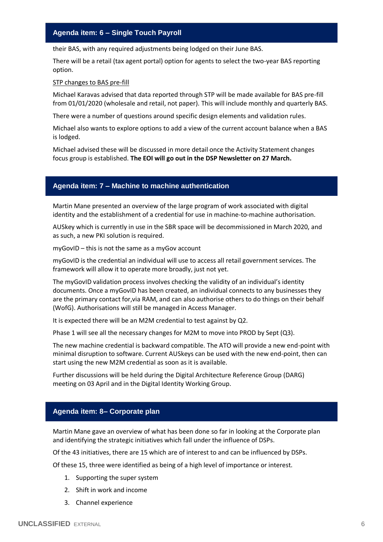# **Agenda item: 6 – Single Touch Payroll**

their BAS, with any required adjustments being lodged on their June BAS.

There will be a retail (tax agent portal) option for agents to select the two-year BAS reporting option.

#### STP changes to BAS pre-fill

Michael Karavas advised that data reported through STP will be made available for BAS pre-fill from 01/01/2020 (wholesale and retail, not paper). This will include monthly and quarterly BAS.

There were a number of questions around specific design elements and validation rules.

Michael also wants to explore options to add a view of the current account balance when a BAS is lodged.

Michael advised these will be discussed in more detail once the Activity Statement changes focus group is established. **The EOI will go out in the DSP Newsletter on 27 March.**

# **Agenda item: 7 – Machine to machine authentication**

Martin Mane presented an overview of the large program of work associated with digital identity and the establishment of a credential for use in machine-to-machine authorisation.

AUSkey which is currently in use in the SBR space will be decommissioned in March 2020, and as such, a new PKI solution is required.

myGovID – this is not the same as a myGov account

myGovID is the credential an individual will use to access all retail government services. The framework will allow it to operate more broadly, just not yet.

The myGovID validation process involves checking the validity of an individual's identity documents. Once a myGovID has been created, an individual connects to any businesses they are the primary contact for,via RAM, and can also authorise others to do things on their behalf (WofG). Authorisations will still be managed in Access Manager.

It is expected there will be an M2M credential to test against by Q2.

Phase 1 will see all the necessary changes for M2M to move into PROD by Sept (Q3).

The new machine credential is backward compatible. The ATO will provide a new end-point with minimal disruption to software. Current AUSkeys can be used with the new end-point, then can start using the new M2M credential as soon as it is available.

Further discussions will be held during the Digital Architecture Reference Group (DARG) meeting on 03 April and in the Digital Identity Working Group.

# **Agenda item: 8– Corporate plan**

Martin Mane gave an overview of what has been done so far in looking at the Corporate plan and identifying the strategic initiatives which fall under the influence of DSPs.

Of the 43 initiatives, there are 15 which are of interest to and can be influenced by DSPs.

Of these 15, three were identified as being of a high level of importance or interest.

- 1. Supporting the super system
- 2. Shift in work and income
- 3. Channel experience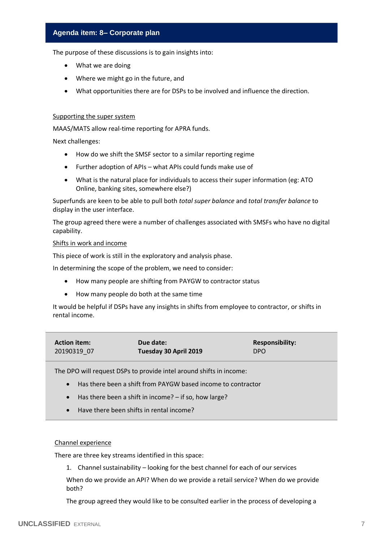# **Agenda item: 8– Corporate plan**

The purpose of these discussions is to gain insights into:

- What we are doing
- Where we might go in the future, and
- What opportunities there are for DSPs to be involved and influence the direction.

#### Supporting the super system

MAAS/MATS allow real-time reporting for APRA funds.

Next challenges:

- How do we shift the SMSF sector to a similar reporting regime
- Further adoption of APIs what APIs could funds make use of
- What is the natural place for individuals to access their super information (eg: ATO Online, banking sites, somewhere else?)

Superfunds are keen to be able to pull both *total super balance* and *total transfer balance* to display in the user interface.

The group agreed there were a number of challenges associated with SMSFs who have no digital capability.

#### Shifts in work and income

This piece of work is still in the exploratory and analysis phase.

In determining the scope of the problem, we need to consider:

- How many people are shifting from PAYGW to contractor status
- How many people do both at the same time

It would be helpful if DSPs have any insights in shifts from employee to contractor, or shifts in rental income.

| <b>Action item:</b> | Due date:             | <b>Responsibility:</b> |
|---------------------|-----------------------|------------------------|
| 20190319 07         | Tuesday 30 April 2019 | <b>DPO</b>             |

The DPO will request DSPs to provide intel around shifts in income:

- Has there been a shift from PAYGW based income to contractor
- Has there been a shift in income? if so, how large?
- Have there been shifts in rental income?

#### Channel experience

There are three key streams identified in this space:

1. Channel sustainability – looking for the best channel for each of our services

When do we provide an API? When do we provide a retail service? When do we provide both?

The group agreed they would like to be consulted earlier in the process of developing a